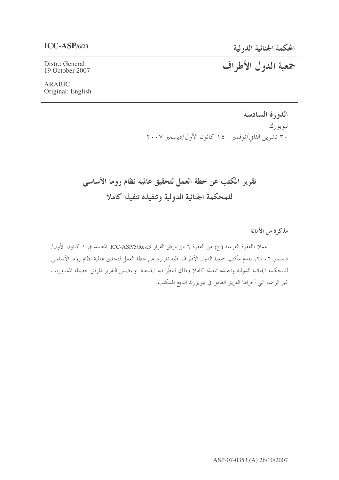المحكمة الجنائية الدولية

جمعية الدول الأطراف

Distr.: General 19 October 2007

**ARABIC** Original: English

> الدورة السادسة نيو يو ر ك ۳۰ تشرین الثانی/نوفمبر– ۱٤ کانون الأول/دیسمبر ۲۰۰۷

تقرير المكتب عن خطة العمل لتحقيق عالمية نظام روما الأساسي للمحكمة الجنائية الدولية وتنفيذه تنفيذا كاملا

مذكرة من الأمانة

عملاً بالفقرة الفرعية (ح) من الفقرة ٦ من مرفق القرار ICC-ASP/5/Res.3 المعتمد في ١ كانون الأول/ ديسمبر ٢٠٠٦، يقدم مكتب جمعية الدول الأطراف طيه تقريره عن خطة العمل لتحقيق عالمية نظام روما الأساسي للمحكمة الجنائية الدولية وتنفيذه تنفيذا كاملا وذلك لتنظُر فيه الجمعية. ويتضمن التقرير المرفق حصيلة المشاورات غير الرسمية التي أحراها الفريق العامل في نيويورك التابع للمكتب.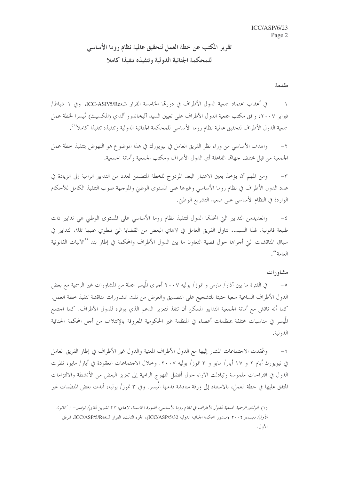# تقرير المكتب عن خطة العمل لتحقيق عالمية نظام روما الأساسي للمحكمة الجنائية الدولية وتنفيذه تنفيذا كاملا

#### مقدمة

في أعقاب اعتماد جمعية الدول الأطراف في دورتما الخامسة القرار ICC-ASP/5/Res.3، وفي ١ شباط/  $-1$ فيراير ٢٠٠٧، وافق مكتب جمعية الدول الأطراف على تعيين السيد آليخاندرو ألداي (المكسيك) مُيسرا لخطة عمل جمعية الدول الأطراف لتحقيق عالمية نظام روما الأساسي للمحكمة الجنائية الدولية وتنفيذه تنفيذا كاملا<sup>(١)</sup>.

والهدف الأساسي من وراء نظر الفريق العامل في نيويورك في هذا الموضوع هو النهوض بتنفيذ خطة عمل  $-\tau$ الجمعية من قبل مختلف جهامًا الفاعلة أي الدول الأطراف ومكتب الجمعية وأمانة الجمعية.

ومن المهم أن يؤخذ بعين الاعتبار البعد المزدوج للخطة المتضمن لعدد من التدابير الرامية إلى الزيادة في  $-\tau$ عدد الدول الأطراف في نظام روما الأساسي وغيرها على المستوى الوطني والموجهة صوب التنفيذ الكامل للأحكام الواردة في النظام الأساسي على صعيد التشريع الوطني.

والعديدمن التدابير التي اتخذها الدول لتنفيذ نظام روما الأساسي على المستوى الوطني هي تدابير ذات  $-\xi$ طبيعة قانونية. لهذا السبب، تناول الفريق العامل في لاهاي البعض من القضايا التي تنطوي عليها تلك التدابير في سياق المناقشات التي أجراها حول قضية التعاون ما بين الدول الأطراف والمحكمة في إطار بند ''الآليات القانونية العامة ب

### مشاورات

في الفترة ما بين آذار/ مارس و تموز/ يوليه ٢٠٠٧ أجرى المُيسر جملة من المشاورات غير الرسمية مع بعض  $-\circ$ الدول الأطراف الساعية سعيا حثيثا للتشجيع على التصديق والغرض من تلك المشاورات مناقشة تنفيذ حطة العمل. كما أنه ناقش مع أمانة الجمعية التدابير الممكن أن تنفذ لتعزيز الدعم الذي يوفره للدول الأطراف. كما اجتمع الْمِيسر في مناسبات مختلفة بمنظمات أعضاء في المنظمة غير الحكومية المعروفة بالإئتلاف من أجل المحكمة الجنائية الدولية.

وعُقدت الاحتماعات المشار إليها مع الدول الأطراف المعنية والدول غير الأطراف في إطار الفريق العامل  $-7$ في نيويورك أيام ٢ و ١٧ أيار/ مايو و ٣ تموز/ يوليه ٢٠٠٧. وخلال الاجتماعات المعقودة في أيار/ مايو، نظرت الدول في اقتراحات ملموسة وتبادلت الآراء حول أفضل النهوج الرامية إلى تعزيز البعض من الأنشطة والالتزامات المتفق عليها في خطة العمل، بالاستناد إلى ورقة مناقشة قدمها المُيسر. وفي ٣ تموز/ يوليه، أبدت بعض المنظمات غير

<sup>(</sup>١) البوثائق الرسمية لجيمعية اللهول الأطراف في نظام روما الأساسبي، اللهورة الخامسة، لاهاي، ٢٣ تشيرين الثاني/ نوفيهبر – ١ كانون

الأول/ ديسمبر ٢٠٠٢ (منشور المحكمة الجنائية الدولية ICC/ASP/5/32)، الجزء الثالث، القرار ICC/ASP/5/Res.3، المرفق الأول.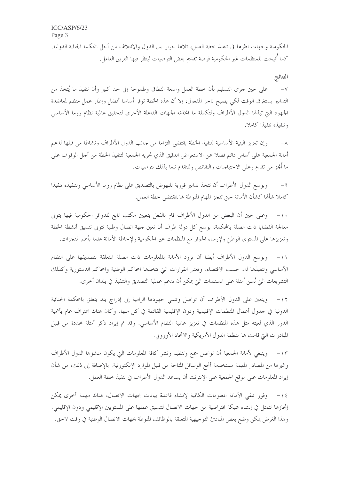$ICC/ASP/6/23$ Page 3 الحكومية وجهات نظرها في تنفيذ خطة العمل، تلاها حوار بين الدول والإئتلاف من أجل المحكمة الجناية الدولية. كما أتيحت للمنظمات غير الحكومية فرصة تقديم بعض التوصيات لينظر فيها الفريق العامل.

# النتائج

على حين حرى التسليم بأن خطة العمل واسعة النطاق وطموحة إلى حد كبير وأن تنفيذ ما يُتخذ من  $-\vee$ التدابير يستغرق الوقت لكي يصبح ناجز المفعول، إلا أن هذه الخطة توفر أساسا أفضل وإطار عمل منظم لمعاضدة الجهود التي تبذلها الدول الأطراف ولتكملة ما اتخذته الجهات الفاعلة الأحرى لتحقيق عالمية نظام روما الأساسي وتنفيذه تنفيذا كاملا.

وإن تعزيز البنية الأساسية لتنفيذ الخطة يقتضى التزاما من حانب الدول الأطراف ونشاطا من قبلها لدعم  $-\lambda$ أمانة الجمعية على أساس دائم فضلا عن الاستعراض الدقيق الذي تجريه الجمعية لتنفيذ الخطة من أحل الوقوف على ما أُبُحز من تقدم وعلى الاحتياجات والنقائص وللتقدم تبعا بذلك بتوصيات.

وبو سع الدول الأطراف أن تتخذ تدابير فورية للنهوض بالتصديق على نظام روما الأساسي ولتنفيذه تنفيذا  $-9$ كاملا شأَها كشأن الأمانة حيّ تنجز المهام المنوطة بما بمقتضى حطة العمل.

وعلى حين أن البعض من الدول الأطراف قام بالفعل بتعيين مكتب تابع للدوائر الحكومية فيها يتولى  $- \wedge$ معالجة القضايا ذات الصلة بالمحكمة، بوسع كل دولة طرف أن تعين جهة اتصال وطنية تتولى تنسيق أنشطة الخطة وتعزيزها على المستوى الوطني ولإرساء الحوار مع المنظمات غير الحكومية ولإحاطة الأمانة علما بأهم المنحزات.

وبوسع الدول الأطراف أيضا أن تزود الأمانة بالمعلومات ذات الصلة المتعلقة بتصديقها على النظام  $-11$ الأساسي وتنفيذها له، حسب الاقتضاء. وتعتبر القرارات التي تتخذها المحاكم الوطنية والمحاكم الدستورية وكذلك التشريعات التي تُسن أمثلة على المستندات التي يمكن أن تدعم عملية التصديق والتنفيذ في بلدان أخرى.

ويتعين على الدول الأطراف أن تواصل وتنمي جهودها الرامية إلى إدراج بند يتعلق بالمحكمة الجنائية  $-11$ الدولية في جدول أعمال المنظمات الإقليمية ودون الإقليمية القائمة في كل منها. وكان هناك اعتراف عام بأهمية الدور الذي لعبته مثل هذه المنظمات في تعزيز عالمية النظام الأساسي. وقد تم إيراد ذكر أمثلة محددة من قبيل المبادرات التي قامت ها منظمة الدول الأمريكية والاتحاد الأوروبي.

وينبغي لأمانة الجمعية أن تواصل جمع وتنظيم ونشر كافة المعلومات التي يكون منشؤها الدول الأطراف  $-\gamma r$ وغيرها من المصادر المهمة مستخدمة أنجع الوسائل المتاحة من قبيل الموارد الإلكتورنية. بالإضافة إلى ذلك، من شأن إيراد المعلومات على موقع الجمعية على الإنترنت أن يساعد الدول الأطراف في تنفيذ خطة العمل.

١٤− وفور تلقى الأمانة المعلومات الكافية لإنشاء قاعدة بيانات بجهات الاتصال، هناك مهمة أخرى يمكن إنجازها تتمثل في إنشاء شبكة افتراضية من حهات الاتصال لتنسيق عملها على المستويين الإقليمي ودون الإقليمي. ولهذا الغرض يمكن وضع بعض المبادئ التوجيهية المتعلقة بالوظائف المنوطة بحهات الاتصال الوطنية في وقت لاحق.